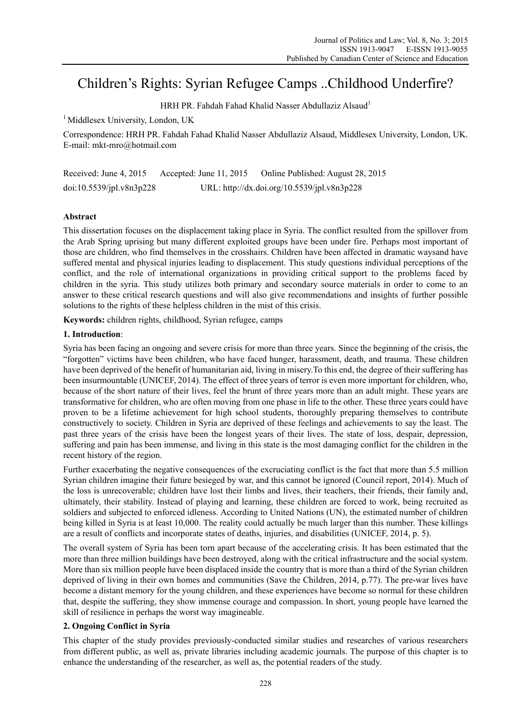# Children's Rights: Syrian Refugee Camps ..Childhood Underfire?

HRH PR. Fahdah Fahad Khalid Nasser Abdullaziz Alsaud<sup>1</sup>

<sup>1</sup> Middlesex University, London, UK

Correspondence: HRH PR. Fahdah Fahad Khalid Nasser Abdullaziz Alsaud, Middlesex University, London, UK. E-mail: mkt-mro@hotmail.com

Received: June 4, 2015 Accepted: June 11, 2015 Online Published: August 28, 2015 doi:10.5539/jpl.v8n3p228 URL: http://dx.doi.org/10.5539/jpl.v8n3p228

# **Abstract**

This dissertation focuses on the displacement taking place in Syria. The conflict resulted from the spillover from the Arab Spring uprising but many different exploited groups have been under fire. Perhaps most important of those are children, who find themselves in the crosshairs. Children have been affected in dramatic waysand have suffered mental and physical injuries leading to displacement. This study questions individual perceptions of the conflict, and the role of international organizations in providing critical support to the problems faced by children in the syria. This study utilizes both primary and secondary source materials in order to come to an answer to these critical research questions and will also give recommendations and insights of further possible solutions to the rights of these helpless children in the mist of this crisis.

**Keywords:** children rights, childhood, Syrian refugee, camps

# **1. Introduction**:

Syria has been facing an ongoing and severe crisis for more than three years. Since the beginning of the crisis, the "forgotten" victims have been children, who have faced hunger, harassment, death, and trauma. These children have been deprived of the benefit of humanitarian aid, living in misery.To this end, the degree of their suffering has been insurmountable (UNICEF, 2014). The effect of three years of terror is even more important for children, who, because of the short nature of their lives, feel the brunt of three years more than an adult might. These years are transformative for children, who are often moving from one phase in life to the other. These three years could have proven to be a lifetime achievement for high school students, thoroughly preparing themselves to contribute constructively to society. Children in Syria are deprived of these feelings and achievements to say the least. The past three years of the crisis have been the longest years of their lives. The state of loss, despair, depression, suffering and pain has been immense, and living in this state is the most damaging conflict for the children in the recent history of the region.

Further exacerbating the negative consequences of the excruciating conflict is the fact that more than 5.5 million Syrian children imagine their future besieged by war, and this cannot be ignored (Council report, 2014). Much of the loss is unrecoverable; children have lost their limbs and lives, their teachers, their friends, their family and, ultimately, their stability. Instead of playing and learning, these children are forced to work, being recruited as soldiers and subjected to enforced idleness. According to United Nations (UN), the estimated number of children being killed in Syria is at least 10,000. The reality could actually be much larger than this number. These killings are a result of conflicts and incorporate states of deaths, injuries, and disabilities (UNICEF, 2014, p. 5).

The overall system of Syria has been torn apart because of the accelerating crisis. It has been estimated that the more than three million buildings have been destroyed, along with the critical infrastructure and the social system. More than six million people have been displaced inside the country that is more than a third of the Syrian children deprived of living in their own homes and communities (Save the Children, 2014, p.77). The pre-war lives have become a distant memory for the young children, and these experiences have become so normal for these children that, despite the suffering, they show immense courage and compassion. In short, young people have learned the skill of resilience in perhaps the worst way imagineable.

# **2. Ongoing Conflict in Syria**

This chapter of the study provides previously-conducted similar studies and researches of various researchers from different public, as well as, private libraries including academic journals. The purpose of this chapter is to enhance the understanding of the researcher, as well as, the potential readers of the study.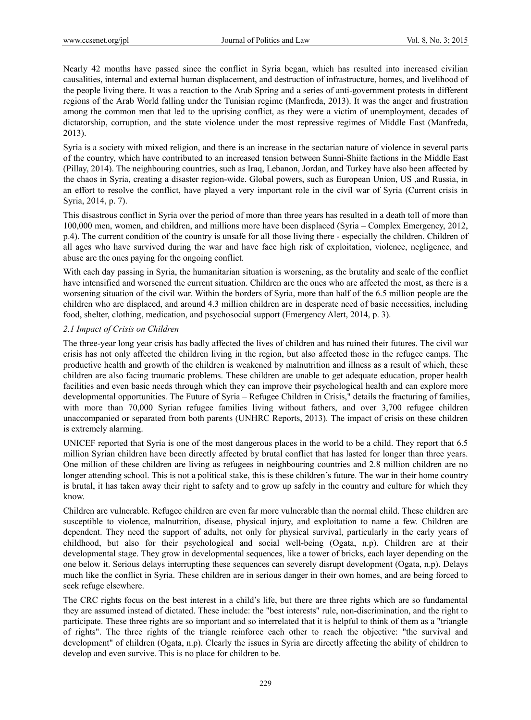Nearly 42 months have passed since the conflict in Syria began, which has resulted into increased civilian causalities, internal and external human displacement, and destruction of infrastructure, homes, and livelihood of the people living there. It was a reaction to the Arab Spring and a series of anti-government protests in different regions of the Arab World falling under the Tunisian regime (Manfreda, 2013). It was the anger and frustration among the common men that led to the uprising conflict, as they were a victim of unemployment, decades of dictatorship, corruption, and the state violence under the most repressive regimes of Middle East (Manfreda, 2013).

Syria is a society with mixed religion, and there is an increase in the sectarian nature of violence in several parts of the country, which have contributed to an increased tension between Sunni-Shiite factions in the Middle East (Pillay, 2014). The neighbouring countries, such as Iraq, Lebanon, Jordan, and Turkey have also been affected by the chaos in Syria, creating a disaster region-wide. Global powers, such as European Union, US ,and Russia, in an effort to resolve the conflict, have played a very important role in the civil war of Syria (Current crisis in Syria, 2014, p. 7).

This disastrous conflict in Syria over the period of more than three years has resulted in a death toll of more than 100,000 men, women, and children, and millions more have been displaced (Syria – Complex Emergency, 2012, p.4). The current condition of the country is unsafe for all those living there - especially the children. Children of all ages who have survived during the war and have face high risk of exploitation, violence, negligence, and abuse are the ones paying for the ongoing conflict.

With each day passing in Syria, the humanitarian situation is worsening, as the brutality and scale of the conflict have intensified and worsened the current situation. Children are the ones who are affected the most, as there is a worsening situation of the civil war. Within the borders of Syria, more than half of the 6.5 million people are the children who are displaced, and around 4.3 million children are in desperate need of basic necessities, including food, shelter, clothing, medication, and psychosocial support (Emergency Alert, 2014, p. 3).

## *2.1 Impact of Crisis on Children*

The three-year long year crisis has badly affected the lives of children and has ruined their futures. The civil war crisis has not only affected the children living in the region, but also affected those in the refugee camps. The productive health and growth of the children is weakened by malnutrition and illness as a result of which, these children are also facing traumatic problems. These children are unable to get adequate education, proper health facilities and even basic needs through which they can improve their psychological health and can explore more developmental opportunities. The Future of Syria – Refugee Children in Crisis," details the fracturing of families, with more than 70,000 Syrian refugee families living without fathers, and over 3,700 refugee children unaccompanied or separated from both parents (UNHRC Reports, 2013). The impact of crisis on these children is extremely alarming.

UNICEF reported that Syria is one of the most dangerous places in the world to be a child. They report that 6.5 million Syrian children have been directly affected by brutal conflict that has lasted for longer than three years. One million of these children are living as refugees in neighbouring countries and 2.8 million children are no longer attending school. This is not a political stake, this is these children's future. The war in their home country is brutal, it has taken away their right to safety and to grow up safely in the country and culture for which they know.

Children are vulnerable. Refugee children are even far more vulnerable than the normal child. These children are susceptible to violence, malnutrition, disease, physical injury, and exploitation to name a few. Children are dependent. They need the support of adults, not only for physical survival, particularly in the early years of childhood, but also for their psychological and social well-being (Ogata, n.p). Children are at their developmental stage. They grow in developmental sequences, like a tower of bricks, each layer depending on the one below it. Serious delays interrupting these sequences can severely disrupt development (Ogata, n.p). Delays much like the conflict in Syria. These children are in serious danger in their own homes, and are being forced to seek refuge elsewhere.

The CRC rights focus on the best interest in a child's life, but there are three rights which are so fundamental they are assumed instead of dictated. These include: the "best interests" rule, non-discrimination, and the right to participate. These three rights are so important and so interrelated that it is helpful to think of them as a "triangle of rights". The three rights of the triangle reinforce each other to reach the objective: "the survival and development" of children (Ogata, n.p). Clearly the issues in Syria are directly affecting the ability of children to develop and even survive. This is no place for children to be.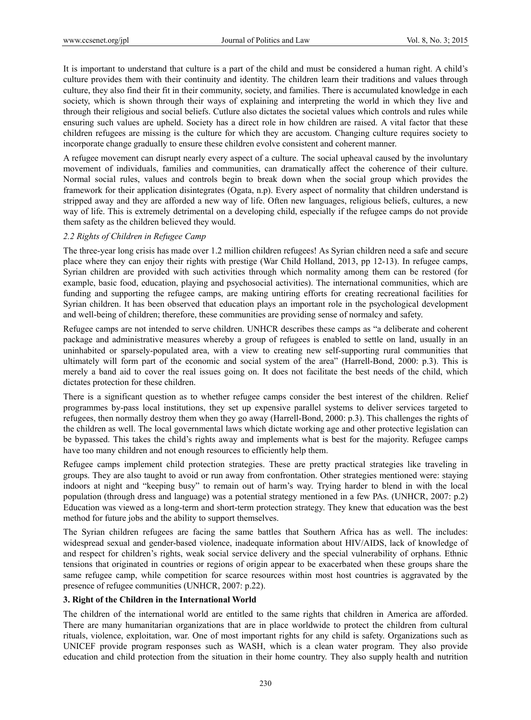It is important to understand that culture is a part of the child and must be considered a human right. A child's culture provides them with their continuity and identity. The children learn their traditions and values through culture, they also find their fit in their community, society, and families. There is accumulated knowledge in each society, which is shown through their ways of explaining and interpreting the world in which they live and through their religious and social beliefs. Cutlure also dictates the societal values which controls and rules while ensuring such values are upheld. Society has a direct role in how children are raised. A vital factor that these children refugees are missing is the culture for which they are accustom. Changing culture requires society to incorporate change gradually to ensure these children evolve consistent and coherent manner.

A refugee movement can disrupt nearly every aspect of a culture. The social upheaval caused by the involuntary movement of individuals, families and communities, can dramatically affect the coherence of their culture. Normal social rules, values and controls begin to break down when the social group which provides the framework for their application disintegrates (Ogata, n.p). Every aspect of normality that children understand is stripped away and they are afforded a new way of life. Often new languages, religious beliefs, cultures, a new way of life. This is extremely detrimental on a developing child, especially if the refugee camps do not provide them safety as the children believed they would.

#### *2.2 Rights of Children in Refugee Camp*

The three-year long crisis has made over 1.2 million children refugees! As Syrian children need a safe and secure place where they can enjoy their rights with prestige (War Child Holland, 2013, pp 12-13). In refugee camps, Syrian children are provided with such activities through which normality among them can be restored (for example, basic food, education, playing and psychosocial activities). The international communities, which are funding and supporting the refugee camps, are making untiring efforts for creating recreational facilities for Syrian children. It has been observed that education plays an important role in the psychological development and well-being of children; therefore, these communities are providing sense of normalcy and safety.

Refugee camps are not intended to serve children. UNHCR describes these camps as "a deliberate and coherent package and administrative measures whereby a group of refugees is enabled to settle on land, usually in an uninhabited or sparsely-populated area, with a view to creating new self-supporting rural communities that ultimately will form part of the economic and social system of the area" (Harrell-Bond, 2000: p.3). This is merely a band aid to cover the real issues going on. It does not facilitate the best needs of the child, which dictates protection for these children.

There is a significant question as to whether refugee camps consider the best interest of the children. Relief programmes by-pass local institutions, they set up expensive parallel systems to deliver services targeted to refugees, then normally destroy them when they go away (Harrell-Bond, 2000: p.3). This challenges the rights of the children as well. The local governmental laws which dictate working age and other protective legislation can be bypassed. This takes the child's rights away and implements what is best for the majority. Refugee camps have too many children and not enough resources to efficiently help them.

Refugee camps implement child protection strategies. These are pretty practical strategies like traveling in groups. They are also taught to avoid or run away from confrontation. Other strategies mentioned were: staying indoors at night and "keeping busy" to remain out of harm's way. Trying harder to blend in with the local population (through dress and language) was a potential strategy mentioned in a few PAs. (UNHCR, 2007: p.2) Education was viewed as a long-term and short-term protection strategy. They knew that education was the best method for future jobs and the ability to support themselves.

The Syrian children refugees are facing the same battles that Southern Africa has as well. The includes: widespread sexual and gender-based violence, inadequate information about HIV/AIDS, lack of knowledge of and respect for children's rights, weak social service delivery and the special vulnerability of orphans. Ethnic tensions that originated in countries or regions of origin appear to be exacerbated when these groups share the same refugee camp, while competition for scarce resources within most host countries is aggravated by the presence of refugee communities (UNHCR, 2007: p.22).

## **3. Right of the Children in the International World**

The children of the international world are entitled to the same rights that children in America are afforded. There are many humanitarian organizations that are in place worldwide to protect the children from cultural rituals, violence, exploitation, war. One of most important rights for any child is safety. Organizations such as UNICEF provide program responses such as WASH, which is a clean water program. They also provide education and child protection from the situation in their home country. They also supply health and nutrition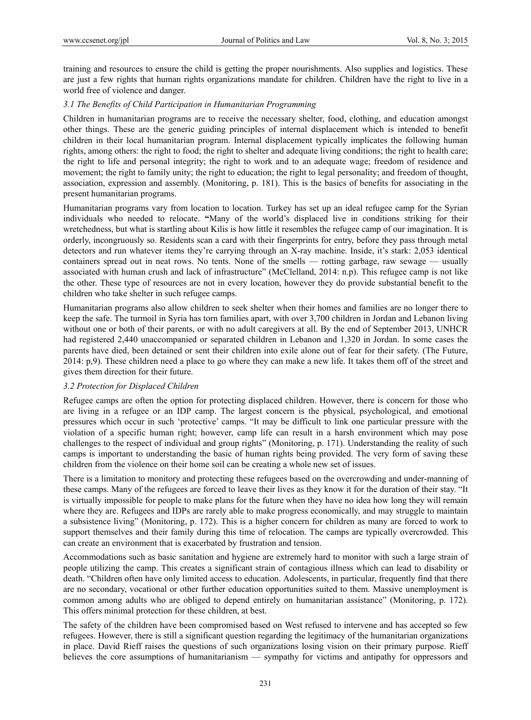training and resources to ensure the child is getting the proper nourishments. Also supplies and logistics. These are just a few rights that human rights organizations mandate for children. Children have the right to live in a world free of violence and danger.

## *3.1 The Benefits of Child Participation in Humanitarian Programming*

Children in humanitarian programs are to receive the necessary shelter, food, clothing, and education amongst other things. These are the generic guiding principles of internal displacement which is intended to benefit children in their local humanitarian program. Internal displacement typically implicates the following human rights, among others: the right to food; the right to shelter and adequate living conditions; the right to health care; the right to life and personal integrity; the right to work and to an adequate wage; freedom of residence and movement; the right to family unity; the right to education; the right to legal personality; and freedom of thought, association, expression and assembly. (Monitoring, p. 181). This is the basics of benefits for associating in the present humanitarian programs.

Humanitarian programs vary from location to location. Turkey has set up an ideal refugee camp for the Syrian individuals who needed to relocate. **"**Many of the world's displaced live in conditions striking for their wretchedness, but what is startling about Kilis is how little it resembles the refugee camp of our imagination. It is orderly, incongruously so. Residents scan a card with their fingerprints for entry, before they pass through metal detectors and run whatever items they're carrying through an X-ray machine. Inside, it's stark: 2,053 identical containers spread out in neat rows. No tents. None of the smells — rotting garbage, raw sewage — usually associated with human crush and lack of infrastructure" (McClelland, 2014: n.p). This refugee camp is not like the other. These type of resources are not in every location, however they do provide substantial benefit to the children who take shelter in such refugee camps.

Humanitarian programs also allow children to seek shelter when their homes and families are no longer there to keep the safe. The turmoil in Syria has torn families apart, with over 3,700 children in Jordan and Lebanon living without one or both of their parents, or with no adult caregivers at all. By the end of September 2013, UNHCR had registered 2,440 unaccompanied or separated children in Lebanon and 1,320 in Jordan. In some cases the parents have died, been detained or sent their children into exile alone out of fear for their safety. (The Future, 2014: p,9). These children need a place to go where they can make a new life. It takes them off of the street and gives them direction for their future.

### *3.2 Protection for Displaced Children*

Refugee camps are often the option for protecting displaced children. However, there is concern for those who are living in a refugee or an IDP camp. The largest concern is the physical, psychological, and emotional pressures which occur in such 'protective' camps. "It may be difficult to link one particular pressure with the violation of a specific human right; however, camp life can result in a harsh environment which may pose challenges to the respect of individual and group rights" (Monitoring, p. 171). Understanding the reality of such camps is important to understanding the basic of human rights being provided. The very form of saving these children from the violence on their home soil can be creating a whole new set of issues.

There is a limitation to monitory and protecting these refugees based on the overcrowding and under-manning of these camps. Many of the refugees are forced to leave their lives as they know it for the duration of their stay. "It is virtually impossible for people to make plans for the future when they have no idea how long they will remain where they are. Refugees and IDPs are rarely able to make progress economically, and may struggle to maintain a subsistence living" (Monitoring, p. 172). This is a higher concern for children as many are forced to work to support themselves and their family during this time of relocation. The camps are typically overcrowded. This can create an environment that is exacerbated by frustration and tension.

Accommodations such as basic sanitation and hygiene are extremely hard to monitor with such a large strain of people utilizing the camp. This creates a significant strain of contagious illness which can lead to disability or death. "Children often have only limited access to education. Adolescents, in particular, frequently find that there are no secondary, vocational or other further education opportunities suited to them. Massive unemployment is common among adults who are obliged to depend entirely on humanitarian assistance" (Monitoring, p. 172). This offers minimal protection for these children, at best.

The safety of the children have been compromised based on West refused to intervene and has accepted so few refugees. However, there is still a significant question regarding the legitimacy of the humanitarian organizations in place. David Rieff raises the questions of such organizations losing vision on their primary purpose. Rieff believes the core assumptions of humanitarianism — sympathy for victims and antipathy for oppressors and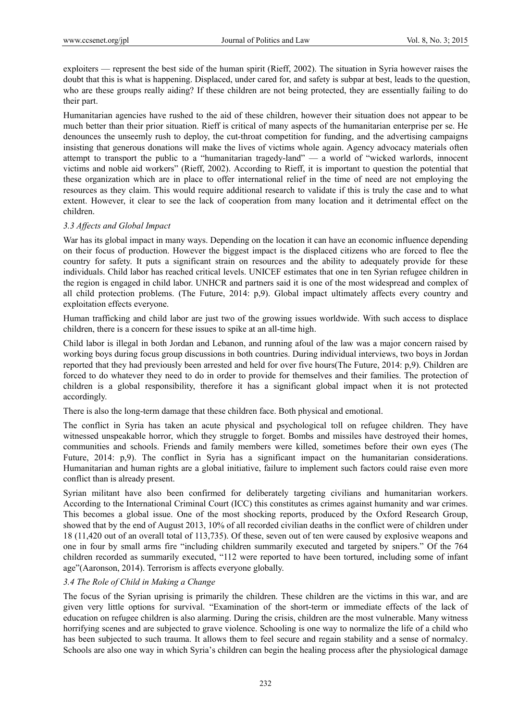exploiters — represent the best side of the human spirit (Rieff, 2002). The situation in Syria however raises the doubt that this is what is happening. Displaced, under cared for, and safety is subpar at best, leads to the question, who are these groups really aiding? If these children are not being protected, they are essentially failing to do their part.

Humanitarian agencies have rushed to the aid of these children, however their situation does not appear to be much better than their prior situation. Rieff is critical of many aspects of the humanitarian enterprise per se. He denounces the unseemly rush to deploy, the cut-throat competition for funding, and the advertising campaigns insisting that generous donations will make the lives of victims whole again. Agency advocacy materials often attempt to transport the public to a "humanitarian tragedy-land" — a world of "wicked warlords, innocent victims and noble aid workers" (Rieff, 2002). According to Rieff, it is important to question the potential that these organization which are in place to offer international relief in the time of need are not employing the resources as they claim. This would require additional research to validate if this is truly the case and to what extent. However, it clear to see the lack of cooperation from many location and it detrimental effect on the children.

### *3.3 Affects and Global Impact*

War has its global impact in many ways. Depending on the location it can have an economic influence depending on their focus of production. However the biggest impact is the displaced citizens who are forced to flee the country for safety. It puts a significant strain on resources and the ability to adequately provide for these individuals. Child labor has reached critical levels. UNICEF estimates that one in ten Syrian refugee children in the region is engaged in child labor. UNHCR and partners said it is one of the most widespread and complex of all child protection problems. (The Future, 2014: p,9). Global impact ultimately affects every country and exploitation effects everyone.

Human trafficking and child labor are just two of the growing issues worldwide. With such access to displace children, there is a concern for these issues to spike at an all-time high.

Child labor is illegal in both Jordan and Lebanon, and running afoul of the law was a major concern raised by working boys during focus group discussions in both countries. During individual interviews, two boys in Jordan reported that they had previously been arrested and held for over five hours(The Future, 2014: p,9). Children are forced to do whatever they need to do in order to provide for themselves and their families. The protection of children is a global responsibility, therefore it has a significant global impact when it is not protected accordingly.

There is also the long-term damage that these children face. Both physical and emotional.

The conflict in Syria has taken an acute physical and psychological toll on refugee children. They have witnessed unspeakable horror, which they struggle to forget. Bombs and missiles have destroyed their homes, communities and schools. Friends and family members were killed, sometimes before their own eyes (The Future, 2014: p,9). The conflict in Syria has a significant impact on the humanitarian considerations. Humanitarian and human rights are a global initiative, failure to implement such factors could raise even more conflict than is already present.

Syrian militant have also been confirmed for deliberately targeting civilians and humanitarian workers. According to the International Criminal Court (ICC) this constitutes as crimes against humanity and war crimes. This becomes a global issue. One of the most shocking reports, produced by the Oxford Research Group, showed that by the end of August 2013, 10% of all recorded civilian deaths in the conflict were of children under 18 (11,420 out of an overall total of 113,735). Of these, seven out of ten were caused by explosive weapons and one in four by small arms fire "including children summarily executed and targeted by snipers." Of the 764 children recorded as summarily executed, "112 were reported to have been tortured, including some of infant age"(Aaronson, 2014). Terrorism is affects everyone globally.

### *3.4 The Role of Child in Making a Change*

The focus of the Syrian uprising is primarily the children. These children are the victims in this war, and are given very little options for survival. "Examination of the short-term or immediate effects of the lack of education on refugee children is also alarming. During the crisis, children are the most vulnerable. Many witness horrifying scenes and are subjected to grave violence. Schooling is one way to normalize the life of a child who has been subjected to such trauma. It allows them to feel secure and regain stability and a sense of normalcy. Schools are also one way in which Syria's children can begin the healing process after the physiological damage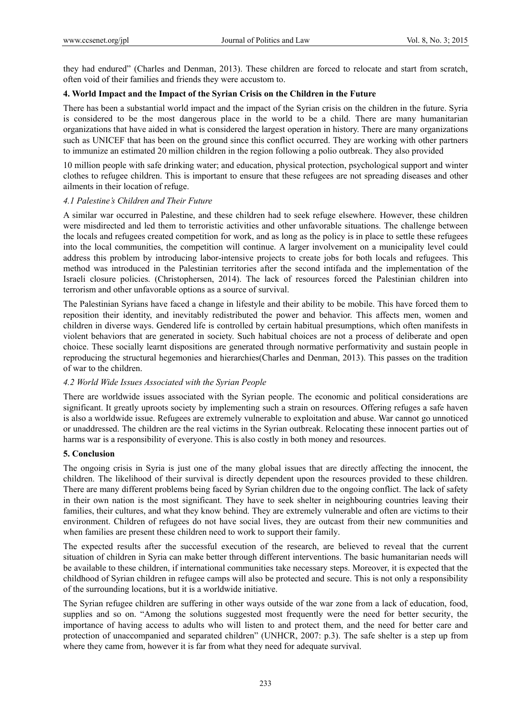they had endured" (Charles and Denman, 2013). These children are forced to relocate and start from scratch, often void of their families and friends they were accustom to.

### **4. World Impact and the Impact of the Syrian Crisis on the Children in the Future**

There has been a substantial world impact and the impact of the Syrian crisis on the children in the future. Syria is considered to be the most dangerous place in the world to be a child. There are many humanitarian organizations that have aided in what is considered the largest operation in history. There are many organizations such as UNICEF that has been on the ground since this conflict occurred. They are working with other partners to immunize an estimated 20 million children in the region following a polio outbreak. They also provided

10 million people with safe drinking water; and education, physical protection, psychological support and winter clothes to refugee children. This is important to ensure that these refugees are not spreading diseases and other ailments in their location of refuge.

### *4.1 Palestine's Children and Their Future*

A similar war occurred in Palestine, and these children had to seek refuge elsewhere. However, these children were misdirected and led them to terroristic activities and other unfavorable situations. The challenge between the locals and refugees created competition for work, and as long as the policy is in place to settle these refugees into the local communities, the competition will continue. A larger involvement on a municipality level could address this problem by introducing labor-intensive projects to create jobs for both locals and refugees. This method was introduced in the Palestinian territories after the second intifada and the implementation of the Israeli closure policies. (Christophersen, 2014). The lack of resources forced the Palestinian children into terrorism and other unfavorable options as a source of survival.

The Palestinian Syrians have faced a change in lifestyle and their ability to be mobile. This have forced them to reposition their identity, and inevitably redistributed the power and behavior. This affects men, women and children in diverse ways. Gendered life is controlled by certain habitual presumptions, which often manifests in violent behaviors that are generated in society. Such habitual choices are not a process of deliberate and open choice. These socially learnt dispositions are generated through normative performativity and sustain people in reproducing the structural hegemonies and hierarchies(Charles and Denman, 2013). This passes on the tradition of war to the children.

### *4.2 World Wide Issues Associated with the Syrian People*

There are worldwide issues associated with the Syrian people. The economic and political considerations are significant. It greatly uproots society by implementing such a strain on resources. Offering refuges a safe haven is also a worldwide issue. Refugees are extremely vulnerable to exploitation and abuse. War cannot go unnoticed or unaddressed. The children are the real victims in the Syrian outbreak. Relocating these innocent parties out of harms war is a responsibility of everyone. This is also costly in both money and resources.

### **5. Conclusion**

The ongoing crisis in Syria is just one of the many global issues that are directly affecting the innocent, the children. The likelihood of their survival is directly dependent upon the resources provided to these children. There are many different problems being faced by Syrian children due to the ongoing conflict. The lack of safety in their own nation is the most significant. They have to seek shelter in neighbouring countries leaving their families, their cultures, and what they know behind. They are extremely vulnerable and often are victims to their environment. Children of refugees do not have social lives, they are outcast from their new communities and when families are present these children need to work to support their family.

The expected results after the successful execution of the research, are believed to reveal that the current situation of children in Syria can make better through different interventions. The basic humanitarian needs will be available to these children, if international communities take necessary steps. Moreover, it is expected that the childhood of Syrian children in refugee camps will also be protected and secure. This is not only a responsibility of the surrounding locations, but it is a worldwide initiative.

The Syrian refugee children are suffering in other ways outside of the war zone from a lack of education, food, supplies and so on. "Among the solutions suggested most frequently were the need for better security, the importance of having access to adults who will listen to and protect them, and the need for better care and protection of unaccompanied and separated children" (UNHCR, 2007: p.3). The safe shelter is a step up from where they came from, however it is far from what they need for adequate survival.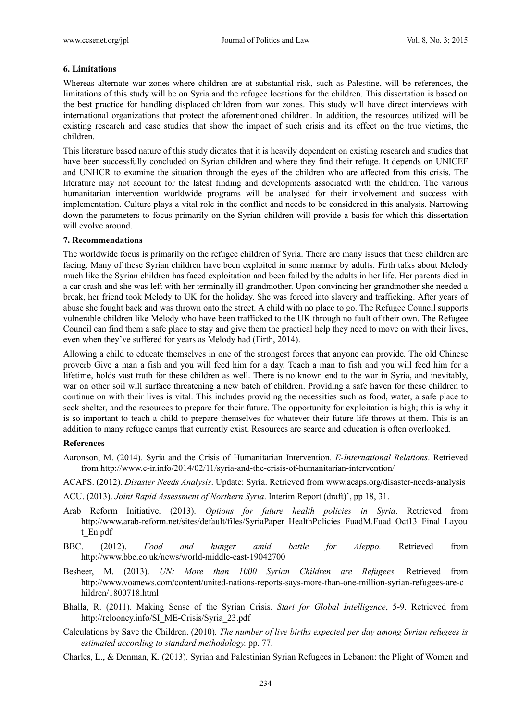#### **6. Limitations**

Whereas alternate war zones where children are at substantial risk, such as Palestine, will be references, the limitations of this study will be on Syria and the refugee locations for the children. This dissertation is based on the best practice for handling displaced children from war zones. This study will have direct interviews with international organizations that protect the aforementioned children. In addition, the resources utilized will be existing research and case studies that show the impact of such crisis and its effect on the true victims, the children.

This literature based nature of this study dictates that it is heavily dependent on existing research and studies that have been successfully concluded on Syrian children and where they find their refuge. It depends on UNICEF and UNHCR to examine the situation through the eyes of the children who are affected from this crisis. The literature may not account for the latest finding and developments associated with the children. The various humanitarian intervention worldwide programs will be analysed for their involvement and success with implementation. Culture plays a vital role in the conflict and needs to be considered in this analysis. Narrowing down the parameters to focus primarily on the Syrian children will provide a basis for which this dissertation will evolve around.

#### **7. Recommendations**

The worldwide focus is primarily on the refugee children of Syria. There are many issues that these children are facing. Many of these Syrian children have been exploited in some manner by adults. Firth talks about Melody much like the Syrian children has faced exploitation and been failed by the adults in her life. Her parents died in a car crash and she was left with her terminally ill grandmother. Upon convincing her grandmother she needed a break, her friend took Melody to UK for the holiday. She was forced into slavery and trafficking. After years of abuse she fought back and was thrown onto the street. A child with no place to go. The Refugee Council supports vulnerable children like Melody who have been trafficked to the UK through no fault of their own. The Refugee Council can find them a safe place to stay and give them the practical help they need to move on with their lives, even when they've suffered for years as Melody had (Firth, 2014).

Allowing a child to educate themselves in one of the strongest forces that anyone can provide. The old Chinese proverb Give a man a fish and you will feed him for a day. Teach a man to fish and you will feed him for a lifetime, holds vast truth for these children as well. There is no known end to the war in Syria, and inevitably, war on other soil will surface threatening a new batch of children. Providing a safe haven for these children to continue on with their lives is vital. This includes providing the necessities such as food, water, a safe place to seek shelter, and the resources to prepare for their future. The opportunity for exploitation is high; this is why it is so important to teach a child to prepare themselves for whatever their future life throws at them. This is an addition to many refugee camps that currently exist. Resources are scarce and education is often overlooked.

#### **References**

- Aaronson, M. (2014). Syria and the Crisis of Humanitarian Intervention. *E-International Relations*. Retrieved from http://www.e-ir.info/2014/02/11/syria-and-the-crisis-of-humanitarian-intervention/
- ACAPS. (2012). *Disaster Needs Analysis*. Update: Syria. Retrieved from www.acaps.org/disaster-needs-analysis
- ACU. (2013). *Joint Rapid Assessment of Northern Syria*. Interim Report (draft)', pp 18, 31.
- Arab Reform Initiative. (2013). *Options for future health policies in Syria*. Retrieved from http://www.arab-reform.net/sites/default/files/SyriaPaper\_HealthPolicies\_FuadM.Fuad\_Oct13\_Final\_Layou t\_En.pdf
- BBC. (2012). *Food and hunger amid battle for Aleppo.* Retrieved from http://www.bbc.co.uk/news/world-middle-east-19042700
- Besheer, M. (2013). *UN: More than 1000 Syrian Children are Refugees.* Retrieved from http://www.voanews.com/content/united-nations-reports-says-more-than-one-million-syrian-refugees-are-c hildren/1800718.html
- Bhalla, R. (2011). Making Sense of the Syrian Crisis. *Start for Global Intelligence*, 5-9. Retrieved from http://relooney.info/SI\_ME-Crisis/Syria\_23.pdf
- Calculations by Save the Children. (2010)*. The number of live births expected per day among Syrian refugees is estimated according to standard methodology.* pp. 77.
- Charles, L., & Denman, K. (2013). Syrian and Palestinian Syrian Refugees in Lebanon: the Plight of Women and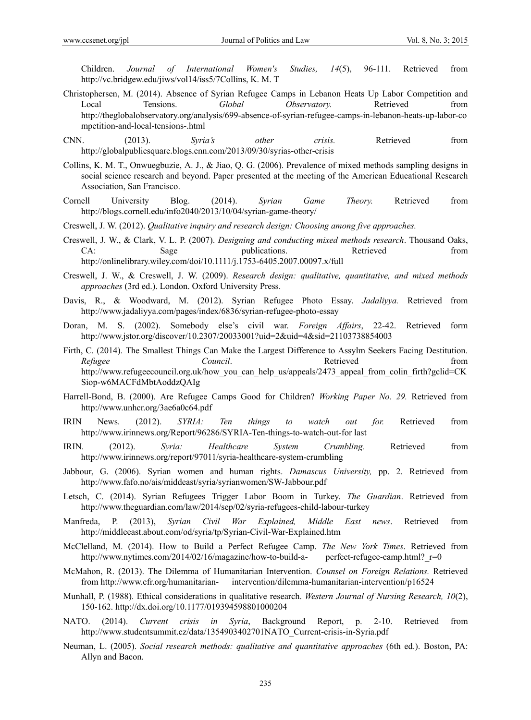Children. *Journal of International Women's Studies, 14*(5), 96-111. Retrieved from http://vc.bridgew.edu/jiws/vol14/iss5/7Collins, K. M. T

- Christophersen, M. (2014). Absence of Syrian Refugee Camps in Lebanon Heats Up Labor Competition and Local Tensions. *Global Observatory*. Retrieved from http://theglobalobservatory.org/analysis/699-absence-of-syrian-refugee-camps-in-lebanon-heats-up-labor-co mpetition-and-local-tensions-.html
- CNN. (2013). *Syria's other crisis.* Retrieved from http://globalpublicsquare.blogs.cnn.com/2013/09/30/syrias-other-crisis
- Collins, K. M. T., Onwuegbuzie, A. J., & Jiao, Q. G. (2006). Prevalence of mixed methods sampling designs in social science research and beyond. Paper presented at the meeting of the American Educational Research Association, San Francisco.
- Cornell University Blog. (2014). *Syrian Game Theory.* Retrieved from http://blogs.cornell.edu/info2040/2013/10/04/syrian-game-theory/
- Creswell, J. W. (2012). *Qualitative inquiry and research design: Choosing among five approaches.*
- Creswell, J. W., & Clark, V. L. P. (2007). *Designing and conducting mixed methods research*. Thousand Oaks, CA: Sage publications. Retrieved from http://onlinelibrary.wiley.com/doi/10.1111/j.1753-6405.2007.00097.x/full
- Creswell, J. W., & Creswell, J. W. (2009). *Research design: qualitative, quantitative, and mixed methods approaches* (3rd ed.). London. Oxford University Press.
- Davis, R., & Woodward, M. (2012). Syrian Refugee Photo Essay. *Jadaliyya.* Retrieved from http://www.jadaliyya.com/pages/index/6836/syrian-refugee-photo-essay
- Doran, M. S. (2002). Somebody else's civil war. *Foreign Affairs*, 22-42. Retrieved form http://www.jstor.org/discover/10.2307/20033001?uid=2&uid=4&sid=21103738854003
- Firth, C. (2014). The Smallest Things Can Make the Largest Difference to Assylm Seekers Facing Destitution. *Refugee* **Council.** Council **Refugee Council Council From** http://www.refugeecouncil.org.uk/how\_you\_can\_help\_us/appeals/2473\_appeal\_from\_colin\_firth?gclid=CK Siop-w6MACFdMbtAoddzQAIg
- Harrell-Bond, B. (2000). Are Refugee Camps Good for Children? *Working Paper No. 29.* Retrieved from http://www.unhcr.org/3ae6a0c64.pdf
- IRIN News. (2012). *SYRIA: Ten things to watch out for.* Retrieved from http://www.irinnews.org/Report/96286/SYRIA-Ten-things-to-watch-out-for last
- IRIN. (2012). *Syria: Healthcare System Crumbling.* Retrieved from http://www.irinnews.org/report/97011/syria-healthcare-system-crumbling
- Jabbour, G. (2006). Syrian women and human rights. *Damascus University,* pp. 2. Retrieved from http://www.fafo.no/ais/middeast/syria/syrianwomen/SW-Jabbour.pdf
- Letsch, C. (2014). Syrian Refugees Trigger Labor Boom in Turkey. *The Guardian*. Retrieved from http://www.theguardian.com/law/2014/sep/02/syria-refugees-child-labour-turkey
- Manfreda, P. (2013), *Syrian Civil War Explained, Middle East news*. Retrieved from http://middleeast.about.com/od/syria/tp/Syrian-Civil-War-Explained.htm
- McClelland, M. (2014). How to Build a Perfect Refugee Camp. *The New York Times*. Retrieved from http://www.nytimes.com/2014/02/16/magazine/how-to-build-a- perfect-refugee-camp.html? r=0
- McMahon, R. (2013). The Dilemma of Humanitarian Intervention. *Counsel on Foreign Relations.* Retrieved from http://www.cfr.org/humanitarian- intervention/dilemma-humanitarian-intervention/p16524
- Munhall, P. (1988). Ethical considerations in qualitative research. *Western Journal of Nursing Research, 10*(2), 150-162. http://dx.doi.org/10.1177/019394598801000204
- NATO. (2014). *Current crisis in Syria*, Background Report, p. 2-10. Retrieved from http://www.studentsummit.cz/data/1354903402701NATO\_Current-crisis-in-Syria.pdf
- Neuman, L. (2005). *Social research methods: qualitative and quantitative approaches* (6th ed.). Boston, PA: Allyn and Bacon.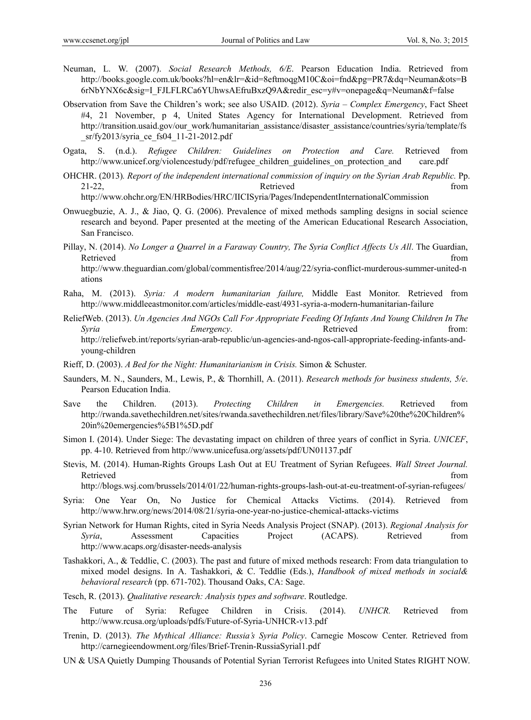- Neuman, L. W. (2007). *Social Research Methods, 6/E*. Pearson Education India. Retrieved from http://books.google.com.uk/books?hl=en&lr=&id=8eftmoqgM10C&oi=fnd&pg=PR7&dq=Neuman&ots=B 6rNbYNX6c&sig=I\_FJLFLRCa6YUhwsAEfruBxzQ9A&redir\_esc=y#v=onepage&q=Neuman&f=false
- Observation from Save the Children's work; see also USAID. (2012). *Syria Complex Emergency*, Fact Sheet #4, 21 November, p 4, United States Agency for International Development. Retrieved from http://transition.usaid.gov/our\_work/humanitarian\_assistance/disaster\_assistance/countries/syria/template/fs \_sr/fy2013/syria\_ce\_fs04\_11-21-2012.pdf
- Ogata, S. (n.d.). *Refugee Children: Guidelines on Protection and Care.* Retrieved from http://www.unicef.org/violencestudy/pdf/refugee\_children\_guidelines\_on\_protection\_and care.pdf
- OHCHR. (2013)*. Report of the independent international commission of inquiry on the Syrian Arab Republic.* Pp. 21-22, Retrieved from the settlement of the settlement of the settlement of the settlement of the set of the set of the set of the set of the set of the set of the set of the set of the set of the set of the set of the set

http://www.ohchr.org/EN/HRBodies/HRC/IICISyria/Pages/IndependentInternationalCommission

- Onwuegbuzie, A. J., & Jiao, Q. G. (2006). Prevalence of mixed methods sampling designs in social science research and beyond. Paper presented at the meeting of the American Educational Research Association, San Francisco.
- Pillay, N. (2014). *No Longer a Quarrel in a Faraway Country, The Syria Conflict Affects Us All*. The Guardian, Retrieved that the contract of the contract of the contract of the contract of the contract of the contract of the contract of the contract of the contract of the contract of the contract of the contract of the contract of

http://www.theguardian.com/global/commentisfree/2014/aug/22/syria-conflict-murderous-summer-united-n ations

- Raha, M. (2013). *Syria: A modern humanitarian failure,* Middle East Monitor. Retrieved from http://www.middleeastmonitor.com/articles/middle-east/4931-syria-a-modern-humanitarian-failure
- ReliefWeb. (2013). *Un Agencies And NGOs Call For Appropriate Feeding Of Infants And Young Children In The Syria* Emergency. Retrieved **Emergency Example 2 Retrieved Example 2 from:** http://reliefweb.int/reports/syrian-arab-republic/un-agencies-and-ngos-call-appropriate-feeding-infants-andyoung-children
- Rieff, D. (2003). *A Bed for the Night: Humanitarianism in Crisis.* Simon & Schuster.
- Saunders, M. N., Saunders, M., Lewis, P., & Thornhill, A. (2011). *Research methods for business students, 5/e*. Pearson Education India.
- Save the Children. (2013). *Protecting Children in Emergencies.* Retrieved from http://rwanda.savethechildren.net/sites/rwanda.savethechildren.net/files/library/Save%20the%20Children% 20in%20emergencies%5B1%5D.pdf
- Simon I. (2014). Under Siege: The devastating impact on children of three years of conflict in Syria. *UNICEF*, pp. 4-10. Retrieved from http://www.unicefusa.org/assets/pdf/UN01137.pdf
- Stevis, M. (2014). Human-Rights Groups Lash Out at EU Treatment of Syrian Refugees. *Wall Street Journal.* Retrieved that the contract of the contract of the contract of the contract of the contract of the contract of the contract of the contract of the contract of the contract of the contract of the contract of the contract of

http://blogs.wsj.com/brussels/2014/01/22/human-rights-groups-lash-out-at-eu-treatment-of-syrian-refugees/

- Syria: One Year On, No Justice for Chemical Attacks Victims. (2014). Retrieved from http://www.hrw.org/news/2014/08/21/syria-one-year-no-justice-chemical-attacks-victims
- Syrian Network for Human Rights, cited in Syria Needs Analysis Project (SNAP). (2013). *Regional Analysis for Syria*, Assessment Capacities Project (ACAPS). Retrieved from http://www.acaps.org/disaster-needs-analysis
- Tashakkori, A., & Teddlie, C. (2003). The past and future of mixed methods research: From data triangulation to mixed model designs. In A. Tashakkori, & C. Teddlie (Eds.), *Handbook of mixed methods in social& behavioral research* (pp. 671-702). Thousand Oaks, CA: Sage.
- Tesch, R. (2013). *Qualitative research: Analysis types and software*. Routledge.
- The Future of Syria: Refugee Children in Crisis. (2014). *UNHCR.* Retrieved from http://www.rcusa.org/uploads/pdfs/Future-of-Syria-UNHCR-v13.pdf
- Trenin, D. (2013). *The Mythical Alliance: Russia's Syria Policy*. Carnegie Moscow Center. Retrieved from http://carnegieendowment.org/files/Brief-Trenin-RussiaSyrial1.pdf
- UN & USA Quietly Dumping Thousands of Potential Syrian Terrorist Refugees into United States RIGHT NOW.